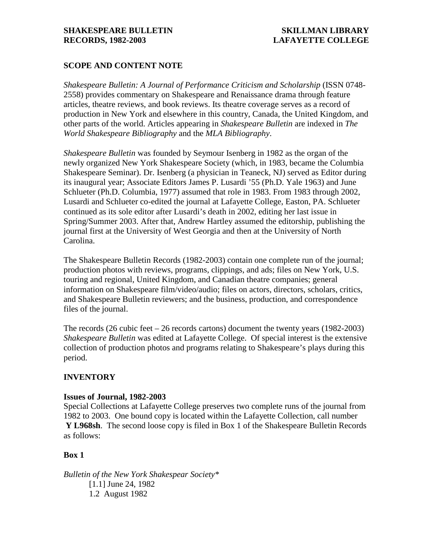# **SCOPE AND CONTENT NOTE**

*Shakespeare Bulletin: A Journal of Performance Criticism and Scholarship* (ISSN 0748- 2558) provides commentary on Shakespeare and Renaissance drama through feature articles, theatre reviews, and book reviews. Its theatre coverage serves as a record of production in New York and elsewhere in this country, Canada, the United Kingdom, and other parts of the world. Articles appearing in *Shakespeare Bulletin* are indexed in *The World Shakespeare Bibliography* and the *MLA Bibliography*.

*Shakespeare Bulletin* was founded by Seymour Isenberg in 1982 as the organ of the newly organized New York Shakespeare Society (which, in 1983, became the Columbia Shakespeare Seminar). Dr. Isenberg (a physician in Teaneck, NJ) served as Editor during its inaugural year; Associate Editors James P. Lusardi '55 (Ph.D. Yale 1963) and June Schlueter (Ph.D. Columbia, 1977) assumed that role in 1983. From 1983 through 2002, Lusardi and Schlueter co-edited the journal at Lafayette College, Easton, PA. Schlueter continued as its sole editor after Lusardi's death in 2002, editing her last issue in Spring/Summer 2003. After that, Andrew Hartley assumed the editorship, publishing the journal first at the University of West Georgia and then at the University of North Carolina.

The Shakespeare Bulletin Records (1982-2003) contain one complete run of the journal; production photos with reviews, programs, clippings, and ads; files on New York, U.S. touring and regional, United Kingdom, and Canadian theatre companies; general information on Shakespeare film/video/audio; files on actors, directors, scholars, critics, and Shakespeare Bulletin reviewers; and the business, production, and correspondence files of the journal.

The records (26 cubic feet – 26 records cartons) document the twenty years (1982-2003) *Shakespeare Bulletin* was edited at Lafayette College. Of special interest is the extensive collection of production photos and programs relating to Shakespeare's plays during this period.

# **INVENTORY**

# **Issues of Journal, 1982-2003**

Special Collections at Lafayette College preserves two complete runs of the journal from 1982 to 2003. One bound copy is located within the Lafayette Collection, call number **Y L968sh**. The second loose copy is filed in Box 1 of the Shakespeare Bulletin Records as follows:

# **Box 1**

*Bulletin of the New York Shakespear Society\** [1.1] June 24, 1982 1.2 August 1982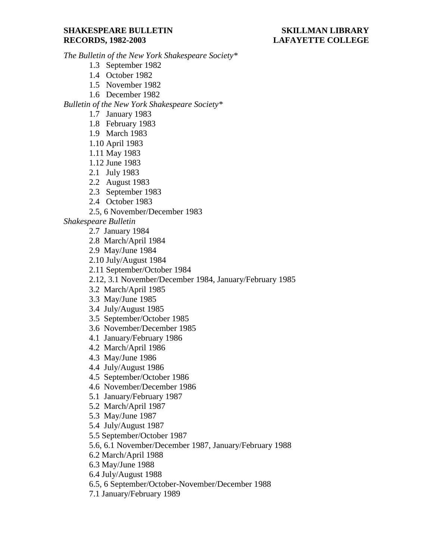*The Bulletin of the New York Shakespeare Society\**

- 1.3 September 1982
- 1.4 October 1982
- 1.5 November 1982
- 1.6 December 1982

*Bulletin of the New York Shakespeare Society\**

- 1.7 January 1983
- 1.8 February 1983
- 1.9 March 1983
- 1.10 April 1983
- 1.11 May 1983
- 1.12 June 1983
- 2.1 July 1983
- 2.2 August 1983
- 2.3 September 1983
- 2.4 October 1983
- 2.5, 6 November/December 1983

*Shakespeare Bulletin*

- 2.7 January 1984
- 2.8 March/April 1984
- 2.9 May/June 1984
- 2.10 July/August 1984
- 2.11 September/October 1984
- 2.12, 3.1 November/December 1984, January/February 1985
- 3.2 March/April 1985
- 3.3 May/June 1985
- 3.4 July/August 1985
- 3.5 September/October 1985
- 3.6 November/December 1985
- 4.1 January/February 1986
- 4.2 March/April 1986
- 4.3 May/June 1986
- 4.4 July/August 1986
- 4.5 September/October 1986
- 4.6 November/December 1986
- 5.1 January/February 1987
- 5.2 March/April 1987
- 5.3 May/June 1987
- 5.4 July/August 1987
- 5.5 September/October 1987
- 5.6, 6.1 November/December 1987, January/February 1988
- 6.2 March/April 1988
- 6.3 May/June 1988
- 6.4 July/August 1988
- 6.5, 6 September/October-November/December 1988
- 7.1 January/February 1989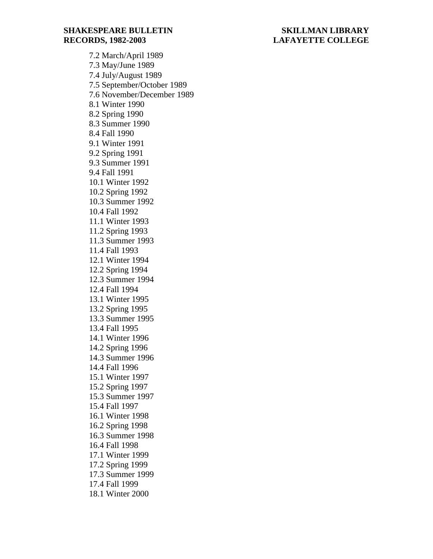7.2 March/April 1989 7.3 May/June 1989 7.4 July/August 1989 7.5 September/October 1989 7.6 November/December 1989 8.1 Winter 1990 8.2 Spring 1990 8.3 Summer 1990 8.4 Fall 1990 9.1 Winter 1991 9.2 Spring 1991 9.3 Summer 1991 9.4 Fall 1991 10.1 Winter 1992 10.2 Spring 1992 10.3 Summer 1992 10.4 Fall 1992 11.1 Winter 1993 11.2 Spring 1993 11.3 Summer 1993 11.4 Fall 1993 12.1 Winter 1994 12.2 Spring 1994 12.3 Summer 1994 12.4 Fall 1994 13.1 Winter 1995 13.2 Spring 1995 13.3 Summer 1995 13.4 Fall 1995 14.1 Winter 1996 14.2 Spring 1996 14.3 Summer 1996 14.4 Fall 1996 15.1 Winter 1997 15.2 Spring 1997 15.3 Summer 1997 15.4 Fall 1997 16.1 Winter 1998 16.2 Spring 1998 16.3 Summer 1998 16.4 Fall 1998 17.1 Winter 1999 17.2 Spring 1999 17.3 Summer 1999 17.4 Fall 1999 18.1 Winter 2000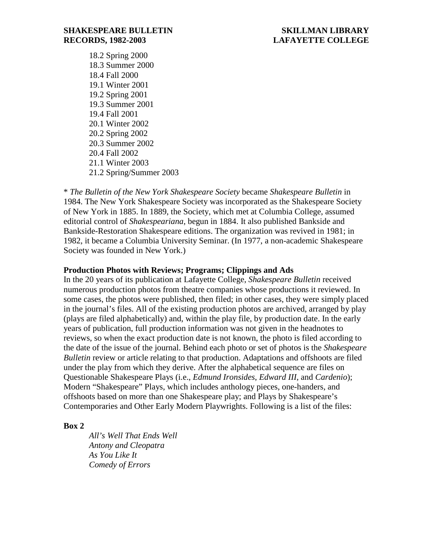18.2 Spring 2000 18.3 Summer 2000 18.4 Fall 2000 19.1 Winter 2001 19.2 Spring 2001 19.3 Summer 2001 19.4 Fall 2001 20.1 Winter 2002 20.2 Spring 2002 20.3 Summer 2002 20.4 Fall 2002 21.1 Winter 2003 21.2 Spring/Summer 2003

\* *The Bulletin of the New York Shakespeare Society* became *Shakespeare Bulletin* in 1984. The New York Shakespeare Society was incorporated as the Shakespeare Society of New York in 1885. In 1889, the Society, which met at Columbia College, assumed editorial control of *Shakespeariana*, begun in 1884. It also published Bankside and Bankside-Restoration Shakespeare editions. The organization was revived in 1981; in 1982, it became a Columbia University Seminar. (In 1977, a non-academic Shakespeare Society was founded in New York.)

# **Production Photos with Reviews; Programs; Clippings and Ads**

In the 20 years of its publication at Lafayette College, *Shakespeare Bulletin* received numerous production photos from theatre companies whose productions it reviewed. In some cases, the photos were published, then filed; in other cases, they were simply placed in the journal's files. All of the existing production photos are archived, arranged by play (plays are filed alphabetically) and, within the play file, by production date. In the early years of publication, full production information was not given in the headnotes to reviews, so when the exact production date is not known, the photo is filed according to the date of the issue of the journal. Behind each photo or set of photos is the *Shakespeare Bulletin* review or article relating to that production. Adaptations and offshoots are filed under the play from which they derive. After the alphabetical sequence are files on Questionable Shakespeare Plays (i.e., *Edmund Ironsides*, *Edward III*, and *Cardenio*); Modern "Shakespeare" Plays, which includes anthology pieces, one-handers, and offshoots based on more than one Shakespeare play; and Plays by Shakespeare's Contemporaries and Other Early Modern Playwrights. Following is a list of the files:

# **Box 2**

*All's Well That Ends Well Antony and Cleopatra As You Like It Comedy of Errors*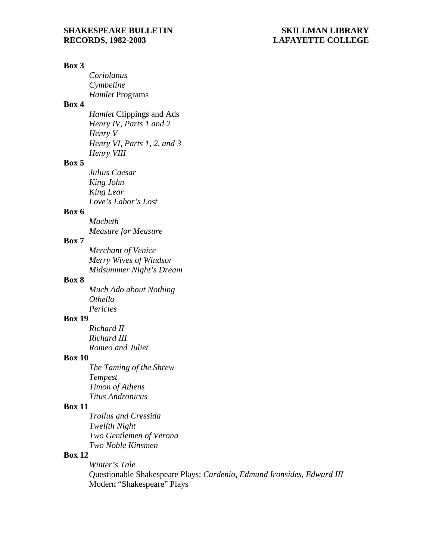#### **Box 3**

*Coriolanus Cymbeline Hamlet* Programs

# **Box 4**

*Hamlet* Clippings and Ads *Henry IV, Parts 1 and 2 Henry V Henry VI, Parts 1, 2, and 3 Henry VIII*

# **Box 5**

*Julius Caesar King John King Lear Love's Labor's Lost*

# **Box 6**

*Macbeth Measure for Measure*

# **Box 7**

*Merchant of Venice Merry Wives of Windsor Midsummer Night's Dream*

# **Box 8**

*Much Ado about Nothing Othello Pericles*

# **Box 19**

*Richard II Richard III Romeo and Juliet*

### **Box 10**

*The Taming of the Shrew Tempest Timon of Athens Titus Andronicus*

# **Box 11**

*Troilus and Cressida Twelfth Night Two Gentlemen of Verona Two Noble Kinsmen*

# **Box 12**

*Winter's Tale* Questionable Shakespeare Plays: *Cardenio, Edmund Ironsides, Edward III* Modern "Shakespeare" Plays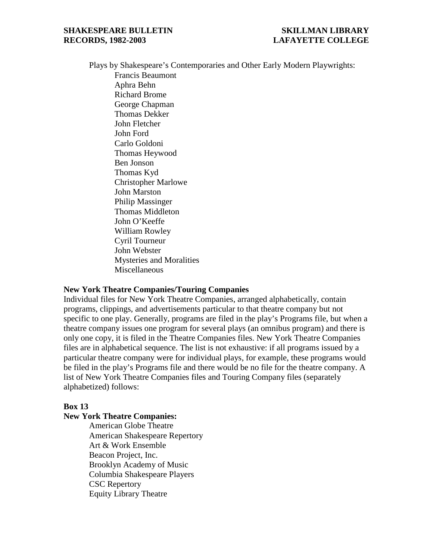Plays by Shakespeare's Contemporaries and Other Early Modern Playwrights:

Francis Beaumont Aphra Behn Richard Brome George Chapman Thomas Dekker John Fletcher John Ford Carlo Goldoni Thomas Heywood Ben Jonson Thomas Kyd Christopher Marlowe John Marston Philip Massinger Thomas Middleton John O'Keeffe William Rowley Cyril Tourneur John Webster Mysteries and Moralities Miscellaneous

# **New York Theatre Companies/Touring Companies**

Individual files for New York Theatre Companies, arranged alphabetically, contain programs, clippings, and advertisements particular to that theatre company but not specific to one play. Generally, programs are filed in the play's Programs file, but when a theatre company issues one program for several plays (an omnibus program) and there is only one copy, it is filed in the Theatre Companies files. New York Theatre Companies files are in alphabetical sequence. The list is not exhaustive: if all programs issued by a particular theatre company were for individual plays, for example, these programs would be filed in the play's Programs file and there would be no file for the theatre company. A list of New York Theatre Companies files and Touring Company files (separately alphabetized) follows:

# **Box 13**

#### **New York Theatre Companies:**

American Globe Theatre American Shakespeare Repertory Art & Work Ensemble Beacon Project, Inc. Brooklyn Academy of Music Columbia Shakespeare Players CSC Repertory Equity Library Theatre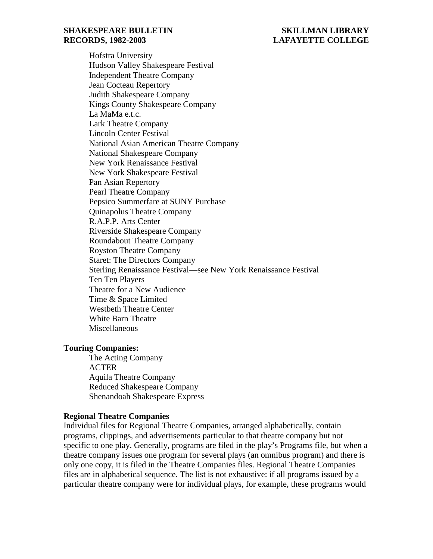Hofstra University Hudson Valley Shakespeare Festival Independent Theatre Company Jean Cocteau Repertory Judith Shakespeare Company Kings County Shakespeare Company La MaMa e.t.c. Lark Theatre Company Lincoln Center Festival National Asian American Theatre Company National Shakespeare Company New York Renaissance Festival New York Shakespeare Festival Pan Asian Repertory Pearl Theatre Company Pepsico Summerfare at SUNY Purchase Quinapolus Theatre Company R.A.P.P. Arts Center Riverside Shakespeare Company Roundabout Theatre Company Royston Theatre Company Staret: The Directors Company Sterling Renaissance Festival—see New York Renaissance Festival Ten Ten Players Theatre for a New Audience Time & Space Limited Westbeth Theatre Center White Barn Theatre Miscellaneous

### **Touring Companies:**

The Acting Company ACTER Aquila Theatre Company Reduced Shakespeare Company Shenandoah Shakespeare Express

### **Regional Theatre Companies**

Individual files for Regional Theatre Companies, arranged alphabetically, contain programs, clippings, and advertisements particular to that theatre company but not specific to one play. Generally, programs are filed in the play's Programs file, but when a theatre company issues one program for several plays (an omnibus program) and there is only one copy, it is filed in the Theatre Companies files. Regional Theatre Companies files are in alphabetical sequence. The list is not exhaustive: if all programs issued by a particular theatre company were for individual plays, for example, these programs would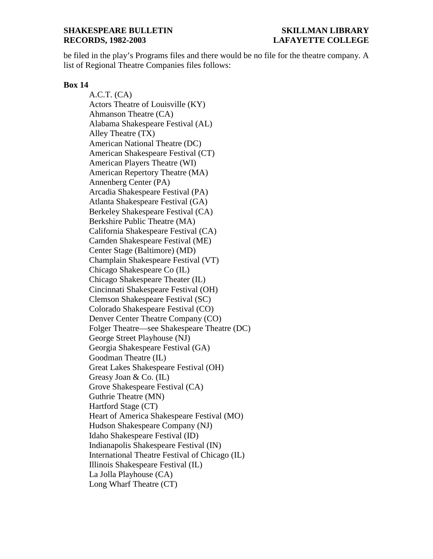be filed in the play's Programs files and there would be no file for the theatre company. A list of Regional Theatre Companies files follows:

# **Box 14**

A.C.T. (CA) Actors Theatre of Louisville (KY) Ahmanson Theatre (CA) Alabama Shakespeare Festival (AL) Alley Theatre (TX) American National Theatre (DC) American Shakespeare Festival (CT) American Players Theatre (WI) American Repertory Theatre (MA) Annenberg Center (PA) Arcadia Shakespeare Festival (PA) Atlanta Shakespeare Festival (GA) Berkeley Shakespeare Festival (CA) Berkshire Public Theatre (MA) California Shakespeare Festival (CA) Camden Shakespeare Festival (ME) Center Stage (Baltimore) (MD) Champlain Shakespeare Festival (VT) Chicago Shakespeare Co (IL) Chicago Shakespeare Theater (IL) Cincinnati Shakespeare Festival (OH) Clemson Shakespeare Festival (SC) Colorado Shakespeare Festival (CO) Denver Center Theatre Company (CO) Folger Theatre—see Shakespeare Theatre (DC) George Street Playhouse (NJ) Georgia Shakespeare Festival (GA) Goodman Theatre (IL) Great Lakes Shakespeare Festival (OH) Greasy Joan & Co. (IL) Grove Shakespeare Festival (CA) Guthrie Theatre (MN) Hartford Stage (CT) Heart of America Shakespeare Festival (MO) Hudson Shakespeare Company (NJ) Idaho Shakespeare Festival (ID) Indianapolis Shakespeare Festival (IN) International Theatre Festival of Chicago (IL) Illinois Shakespeare Festival (IL) La Jolla Playhouse (CA) Long Wharf Theatre (CT)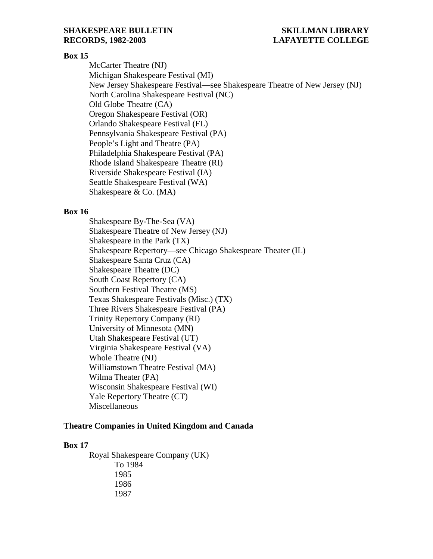# **Box 15**

McCarter Theatre (NJ) Michigan Shakespeare Festival (MI) New Jersey Shakespeare Festival—see Shakespeare Theatre of New Jersey (NJ) North Carolina Shakespeare Festival (NC) Old Globe Theatre (CA) Oregon Shakespeare Festival (OR) Orlando Shakespeare Festival (FL) Pennsylvania Shakespeare Festival (PA) People's Light and Theatre (PA) Philadelphia Shakespeare Festival (PA) Rhode Island Shakespeare Theatre (RI) Riverside Shakespeare Festival (IA) Seattle Shakespeare Festival (WA) Shakespeare & Co. (MA)

#### **Box 16**

Shakespeare By-The-Sea (VA) Shakespeare Theatre of New Jersey (NJ) Shakespeare in the Park (TX) Shakespeare Repertory—see Chicago Shakespeare Theater (IL) Shakespeare Santa Cruz (CA) Shakespeare Theatre (DC) South Coast Repertory (CA) Southern Festival Theatre (MS) Texas Shakespeare Festivals (Misc.) (TX) Three Rivers Shakespeare Festival (PA) Trinity Repertory Company (RI) University of Minnesota (MN) Utah Shakespeare Festival (UT) Virginia Shakespeare Festival (VA) Whole Theatre (NJ) Williamstown Theatre Festival (MA) Wilma Theater (PA) Wisconsin Shakespeare Festival (WI) Yale Repertory Theatre (CT) Miscellaneous

#### **Theatre Companies in United Kingdom and Canada**

#### **Box 17**

Royal Shakespeare Company (UK) To 1984 1985 1986 1987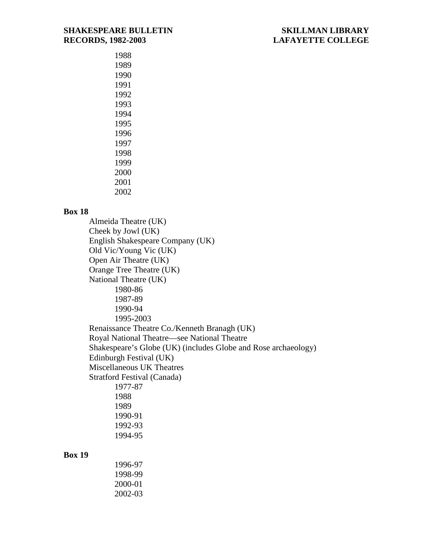# **Box 18**

Almeida Theatre (UK) Cheek by Jowl (UK) English Shakespeare Company (UK) Old Vic/Young Vic (UK) Open Air Theatre (UK) Orange Tree Theatre (UK) National Theatre (UK) 1980-86 1987-89 1990-94 1995-2003 Renaissance Theatre Co./Kenneth Branagh (UK) Royal National Theatre—see National Theatre Shakespeare's Globe (UK) (includes Globe and Rose archaeology) Edinburgh Festival (UK) Miscellaneous UK Theatres Stratford Festival (Canada) 1977-87 1988 1989 1990-91 1992-93 1994-95

# **Box 19**

| 1996-97 |  |
|---------|--|
| 1998-99 |  |
| 2000-01 |  |
| 2002-03 |  |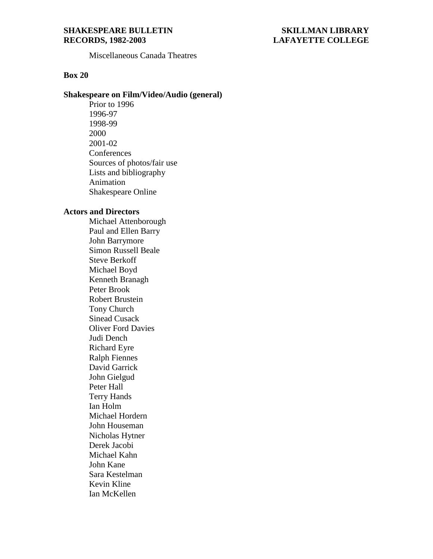Miscellaneous Canada Theatres

# **Box 20**

### **Shakespeare on Film/Video/Audio (general)**

Prior to 1996 1996-97 1998-99 2000 2001-02 **Conferences** Sources of photos/fair use Lists and bibliography Animation Shakespeare Online

# **Actors and Directors**

Michael Attenborough Paul and Ellen Barry John Barrymore Simon Russell Beale Steve Berkoff Michael Boyd Kenneth Branagh Peter Brook Robert Brustein Tony Church Sinead Cusack Oliver Ford Davies Judi Dench Richard Eyre Ralph Fiennes David Garrick John Gielgud Peter Hall Terry Hands Ian Holm Michael Hordern John Houseman Nicholas Hytner Derek Jacobi Michael Kahn John Kane Sara Kestelman Kevin Kline Ian McKellen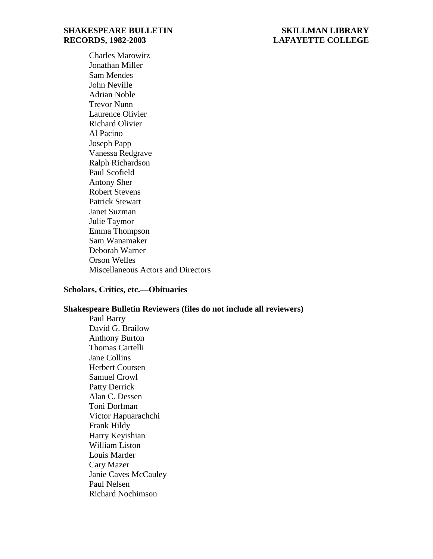Charles Marowitz Jonathan Miller Sam Mendes John Neville Adrian Noble Trevor Nunn Laurence Olivier Richard Olivier Al Pacino Joseph Papp Vanessa Redgrave Ralph Richardson Paul Scofield Antony Sher Robert Stevens Patrick Stewart Janet Suzman Julie Taymor Emma Thompson Sam Wanamaker Deborah Warner Orson Welles Miscellaneous Actors and Directors

### **Scholars, Critics, etc.—Obituaries**

# **Shakespeare Bulletin Reviewers (files do not include all reviewers)**

Paul Barry David G. Brailow Anthony Burton Thomas Cartelli Jane Collins Herbert Coursen Samuel Crowl Patty Derrick Alan C. Dessen Toni Dorfman Victor Hapuarachchi Frank Hildy Harry Keyishian William Liston Louis Marder Cary Mazer Janie Caves McCauley Paul Nelsen Richard Nochimson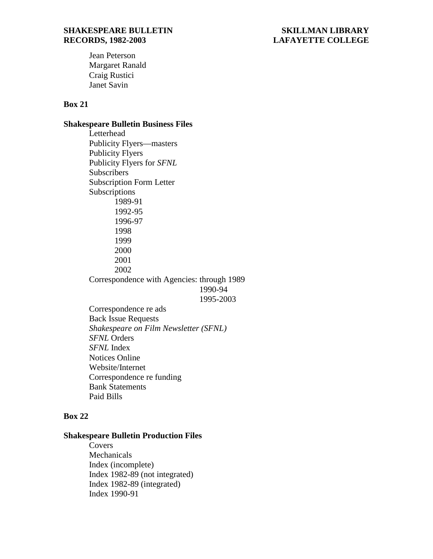Jean Peterson Margaret Ranald Craig Rustici Janet Savin

# **Box 21**

# **Shakespeare Bulletin Business Files**

Letterhead Publicity Flyers—masters Publicity Flyers Publicity Flyers for *SFNL* **Subscribers** Subscription Form Letter Subscriptions 1989-91 1992-95 1996-97 1998 1999 2000 2001 2002 Correspondence with Agencies: through 1989 1990-94 1995-2003

Correspondence re ads Back Issue Requests *Shakespeare on Film Newsletter (SFNL) SFNL* Orders *SFNL* Index Notices Online Website/Internet Correspondence re funding Bank Statements Paid Bills

# **Box 22**

# **Shakespeare Bulletin Production Files**

**Covers** Mechanicals Index (incomplete) Index 1982-89 (not integrated) Index 1982-89 (integrated) Index 1990-91